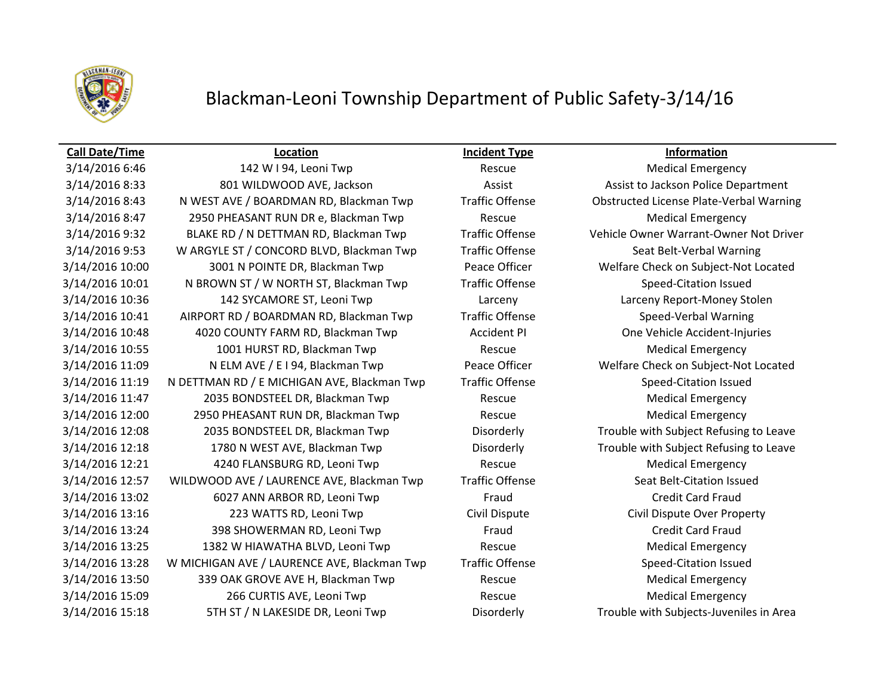

## Blackman-Leoni Township Department of Public Safety-3/14/16

### **Call Date/Time Location Incident Type Information**

3/14/2016 8:33 801 WILDWOOD AVE, Jackson And Assist Assist Assist to Jackson Police Department 3/14/2016 8:43 N WEST AVE / BOARDMAN RD, Blackman Twp Traffic Offense Obstructed License Plate-Verbal Warning 3/14/2016 8:47 2950 PHEASANT RUN DR e, Blackman Twp Rescue Rescue Medical Emergency 3/14/2016 9:32 BLAKE RD / N DETTMAN RD, Blackman Twp Traffic Offense Vehicle Owner Warrant-Owner Not Driver 3/14/2016 9:53 W ARGYLE ST / CONCORD BLVD, Blackman Twp Traffic Offense Seat Belt-Verbal Warning 3/14/2016 10:00 3001 N POINTE DR, Blackman Twp Peace Officer Welfare Check on Subject-Not Located 3/14/2016 10:01 N BROWN ST / W NORTH ST, Blackman Twp Traffic Offense Speed-Citation Issued 3/14/2016 10:36 142 SYCAMORE ST, Leoni Twp Larceny Larceny Report-Money Stolen 3/14/2016 10:41 AIRPORT RD / BOARDMAN RD, Blackman Twp Traffic Offense Speed-Verbal Warning 3/14/2016 10:48 4020 COUNTY FARM RD, Blackman Twp Accident PI One Vehicle Accident-Injuries 3/14/2016 10:55 1001 HURST RD, Blackman Twp Rescue Rescue Medical Emergency 3/14/2016 11:09 N ELM AVE / E I 94, Blackman Twp Peace Officer Welfare Check on Subject-Not Located 3/14/2016 11:19 N DETTMAN RD / E MICHIGAN AVE, Blackman Twp Traffic Offense Speed-Citation Issued 3/14/2016 11:47 2035 BONDSTEEL DR, Blackman Twp Rescue Medical Emergency 3/14/2016 12:00 2950 PHEASANT RUN DR, Blackman Twp Rescue Rescue Medical Emergency 3/14/2016 12:08 2035 BONDSTEEL DR, Blackman Twp Disorderly Trouble with Subject Refusing to Leave 3/14/2016 12:18 1780 N WEST AVE, Blackman Twp Disorderly Trouble with Subject Refusing to Leave 3/14/2016 12:21 4240 FLANSBURG RD, Leoni Twp Rescue Medical Emergency 3/14/2016 12:57 WILDWOOD AVE / LAURENCE AVE, Blackman Twp Traffic Offense Seat Belt-Citation Issued 3/14/2016 13:02 6027 ANN ARBOR RD, Leoni Twp Fraud Fraud Credit Card Fraud 3/14/2016 13:16 223 WATTS RD, Leoni Twp Civil Dispute Civil Dispute Over Property 3/14/2016 13:24 398 SHOWERMAN RD, Leoni Twp Fraud Fraud Credit Card Fraud 3/14/2016 13:25 1382 W HIAWATHA BLVD, Leoni Twp Rescue Rescue Medical Emergency 3/14/2016 13:28 W MICHIGAN AVE / LAURENCE AVE, Blackman Twp Traffic Offense Speed-Citation Issued 3/14/2016 13:50 339 OAK GROVE AVE H, Blackman Twp **Rescue** Rescue Medical Emergency 3/14/2016 15:09 266 CURTIS AVE, Leoni Twp Rescue Rescue Medical Emergency 3/14/2016 15:18 5TH ST / N LAKESIDE DR, Leoni Twp Disorderly Trouble with Subjects-Juveniles in Area

3/14/2016 6:46 142 W I 94, Leoni Twp Rescue Rescue Rescue Medical Emergency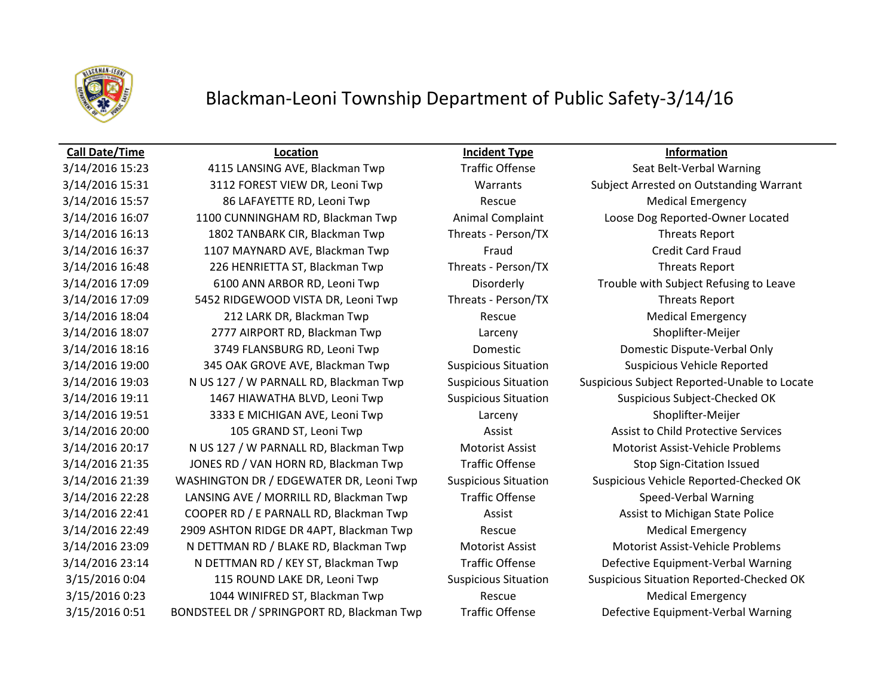

## Blackman-Leoni Township Department of Public Safety-3/14/16

### **Call Date/Time Location Incident Type Information**

3/14/2016 15:31 3112 FOREST VIEW DR, Leoni Twp Warrants Subject Arrested on Outstanding Warrant 3/14/2016 15:57 86 LAFAYETTE RD, Leoni Twp Rescue Rescue Medical Emergency 3/14/2016 16:07 1100 CUNNINGHAM RD, Blackman Twp Animal Complaint Loose Dog Reported-Owner Located 3/14/2016 16:13 1802 TANBARK CIR, Blackman Twp Threats - Person/TX Threats Report 3/14/2016 16:37 **1107 MAYNARD AVE, Blackman Twp** Fraud Fraud Credit Card Fraud 3/14/2016 16:48 226 HENRIETTA ST, Blackman Twp Threats - Person/TX Threats Report 3/14/2016 17:09 6100 ANN ARBOR RD, Leoni Twp Disorderly Trouble with Subject Refusing to Leave 3/14/2016 17:09 5452 RIDGEWOOD VISTA DR, Leoni Twp Threats - Person/TX Threats Report 3/14/2016 18:04 212 LARK DR, Blackman Twp Rescue Rescue Medical Emergency 3/14/2016 18:07 2777 AIRPORT RD, Blackman Twp Larceny Shoplifter-Meijer 3/14/2016 18:16 3749 FLANSBURG RD, Leoni Twp Domestic Domestic Dispute-Verbal Only 3/14/2016 19:00 345 OAK GROVE AVE, Blackman Twp Suspicious Situation Suspicious Vehicle Reported 3/14/2016 19:11 1467 HIAWATHA BLVD, Leoni Twp Suspicious Situation Suspicious Subject-Checked OK 3/14/2016 19:51 3333 E MICHIGAN AVE, Leoni Twp Larceny Shoplifter-Meijer 3/14/2016 20:00 105 GRAND ST, Leoni Twp Assist Assist Assist to Child Protective Services 3/14/2016 20:17 N US 127 / W PARNALL RD, Blackman Twp Motorist Assist Motorist Assist-Vehicle Problems 3/14/2016 21:35 JONES RD / VAN HORN RD, Blackman Twp Traffic Offense Stop Sign-Citation Issued 3/14/2016 21:39 WASHINGTON DR / EDGEWATER DR, Leoni Twp Suspicious Situation Suspicious Vehicle Reported-Checked OK 3/14/2016 22:28 LANSING AVE / MORRILL RD, Blackman Twp Traffic Offense Speed-Verbal Warning 3/14/2016 22:41 COOPER RD / E PARNALL RD, Blackman Twp **Assist Assist Assist Assist to Michigan State Police** 3/14/2016 22:49 2909 ASHTON RIDGE DR 4APT, Blackman Twp Rescue Rescue Medical Emergency 3/14/2016 23:09 N DETTMAN RD / BLAKE RD, Blackman Twp Motorist Assist Motorist Assist-Vehicle Problems 3/14/2016 23:14 N DETTMAN RD / KEY ST, Blackman Twp Traffic Offense Defective Equipment-Verbal Warning 3/15/2016 0:23 1044 WINIFRED ST, Blackman Twp Rescue Medical Emergency 3/15/2016 0:51 BONDSTEEL DR / SPRINGPORT RD, Blackman Twp Traffic Offense Defective Equipment-Verbal Warning

3/14/2016 15:23 4115 LANSING AVE, Blackman Twp Traffic Offense Seat Belt-Verbal Warning 3/14/2016 19:03 N US 127 / W PARNALL RD, Blackman Twp Suspicious Situation Suspicious Subject Reported-Unable to Locate 3/15/2016 0:04 115 ROUND LAKE DR, Leoni Twp Suspicious Situation Suspicious Situation Reported-Checked OK